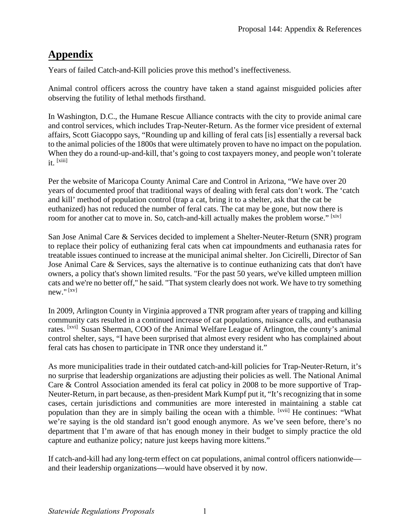## **Appendix**

Years of failed Catch-and-Kill policies prove this method's ineffectiveness.

Animal control officers across the country have taken a stand against misguided policies after observing the futility of lethal methods firsthand.

In Washington, D.C., the Humane Rescue Alliance contracts with the city to provide animal care and control services, which includes Trap-Neuter-Return. As the former vice president of external affairs, Scott Giacoppo says, "Rounding up and killing of feral cats [is] essentially a reversal back to the animal policies of the 1800s that were ultimately proven to have no impact on the population. When they do a round-up-and-kill, that's going to cost taxpayers money, and people won't tolerate it. [xiii]

Per the website of Maricopa County Animal Care and Control in Arizona, "We have over 20 years of documented proof that traditional ways of dealing with feral cats don't work. The 'catch and kill' method of population control (trap a cat, bring it to a shelter, ask that the cat be euthanized) has not reduced the number of feral cats. The cat may be gone, but now there is room for another cat to move in. So, catch-and-kill actually makes the problem worse." [xiv]

 San Jose Animal Care & Services decided to implement a Shelter-Neuter-Return (SNR) program to replace their policy of euthanizing feral cats when cat impoundments and euthanasia rates for cats and we're no better off," he said. "That system clearly does not work. We have to try something treatable issues continued to increase at the municipal animal shelter. Jon Cicirelli, Director of San Jose Animal Care & Services, says the alternative is to continue euthanizing cats that don't have owners, a policy that's shown limited results. "For the past 50 years, we've killed umpteen million new." [xv]

 In 2009, Arlington County in Virginia approved a TNR program after years of trapping and killing community cats resulted in a continued increase of cat populations, nuisance calls, and euthanasia rates. [xvi] Susan Sherman, COO of the Animal Welfare League of Arlington, the county's animal control shelter, says, "I have been surprised that almost every resident who has complained about feral cats has chosen to participate in TNR once they understand it."

 Neuter-Return, in part because, as then-president Mark Kumpf put it, "It's recognizing that in some department that I'm aware of that has enough money in their budget to simply practice the old As more municipalities trade in their outdated catch-and-kill policies for Trap-Neuter-Return, it's no surprise that leadership organizations are adjusting their policies as well. The National Animal Care & Control Association amended its feral cat policy in 2008 to be more supportive of Trapcases, certain jurisdictions and communities are more interested in maintaining a stable cat population than they are in simply bailing the ocean with a thimble. [xvii] He continues: "What we're saying is the old standard isn't good enough anymore. As we've seen before, there's no capture and euthanize policy; nature just keeps having more kittens."

If catch-and-kill had any long-term effect on cat populations, animal control officers nationwide and their leadership organizations—would have observed it by now.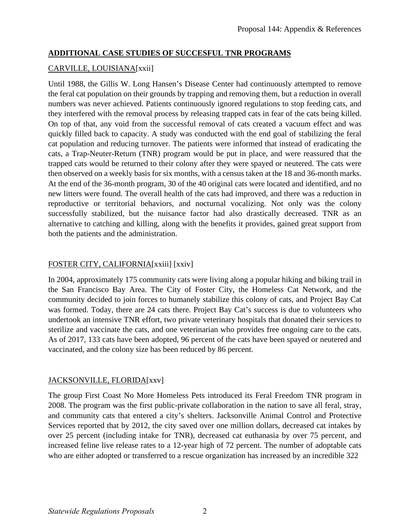#### **ADDITIONAL CASE STUDIES OF SUCCESFUL TNR PROGRAMS**

#### CARVILLE, LOUISIANA[xxii]

 On top of that, any void from the successful removal of cats created a vacuum effect and was successfully stabilized, but the nuisance factor had also drastically decreased. TNR as an Until 1988, the Gillis W. Long Hansen's Disease Center had continuously attempted to remove the feral cat population on their grounds by trapping and removing them, but a reduction in overall numbers was never achieved. Patients continuously ignored regulations to stop feeding cats, and they interfered with the removal process by releasing trapped cats in fear of the cats being killed. quickly filled back to capacity. A study was conducted with the end goal of stabilizing the feral cat population and reducing turnover. The patients were informed that instead of eradicating the cats, a Trap-Neuter-Return (TNR) program would be put in place, and were reassured that the trapped cats would be returned to their colony after they were spayed or neutered. The cats were then observed on a weekly basis for six months, with a census taken at the 18 and 36-month marks. At the end of the 36-month program, 30 of the 40 original cats were located and identified, and no new litters were found. The overall health of the cats had improved, and there was a reduction in reproductive or territorial behaviors, and nocturnal vocalizing. Not only was the colony alternative to catching and killing, along with the benefits it provides, gained great support from both the patients and the administration.

#### FOSTER CITY, CALIFORNIA[xxiii] [xxiv]

In 2004, approximately 175 community cats were living along a popular hiking and biking trail in the San Francisco Bay Area. The City of Foster City, the Homeless Cat Network, and the community decided to join forces to humanely stabilize this colony of cats, and Project Bay Cat was formed. Today, there are 24 cats there. Project Bay Cat's success is due to volunteers who undertook an intensive TNR effort, two private veterinary hospitals that donated their services to sterilize and vaccinate the cats, and one veterinarian who provides free ongoing care to the cats. As of 2017, 133 cats have been adopted, 96 percent of the cats have been spayed or neutered and vaccinated, and the colony size has been reduced by 86 percent.

#### JACKSONVILLE, FLORIDA[xxv]

The group First Coast No More Homeless Pets introduced its Feral Freedom TNR program in 2008. The program was the first public-private collaboration in the nation to save all feral, stray, and community cats that entered a city's shelters. Jacksonville Animal Control and Protective Services reported that by 2012, the city saved over one million dollars, decreased cat intakes by over 25 percent (including intake for TNR), decreased cat euthanasia by over 75 percent, and increased feline live release rates to a 12-year high of 72 percent. The number of adoptable cats who are either adopted or transferred to a rescue organization has increased by an incredible 322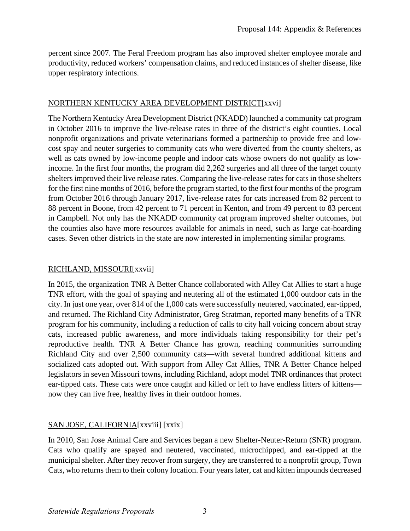percent since 2007. The Feral Freedom program has also improved shelter employee morale and productivity, reduced workers' compensation claims, and reduced instances of shelter disease, like upper respiratory infections.

#### NORTHERN KENTUCKY AREA DEVELOPMENT DISTRICT[xxvi]

 for the first nine months of 2016, before the program started, to the first four months of the program The Northern Kentucky Area Development District (NKADD) launched a community cat program in October 2016 to improve the live-release rates in three of the district's eight counties. Local nonprofit organizations and private veterinarians formed a partnership to provide free and lowcost spay and neuter surgeries to community cats who were diverted from the county shelters, as well as cats owned by low-income people and indoor cats whose owners do not qualify as lowincome. In the first four months, the program did 2,262 surgeries and all three of the target county shelters improved their live release rates. Comparing the live-release rates for cats in those shelters from October 2016 through January 2017, live-release rates for cats increased from 82 percent to 88 percent in Boone, from 42 percent to 71 percent in Kenton, and from 49 percent to 83 percent in Campbell. Not only has the NKADD community cat program improved shelter outcomes, but the counties also have more resources available for animals in need, such as large cat-hoarding cases. Seven other districts in the state are now interested in implementing similar programs.

#### RICHLAND, MISSOURI[xxvii]

 and returned. The Richland City Administrator, Greg Stratman, reported many benefits of a TNR In 2015, the organization TNR A Better Chance collaborated with Alley Cat Allies to start a huge TNR effort, with the goal of spaying and neutering all of the estimated 1,000 outdoor cats in the city. In just one year, over 814 of the 1,000 cats were successfully neutered, vaccinated, ear-tipped, program for his community, including a reduction of calls to city hall voicing concern about stray cats, increased public awareness, and more individuals taking responsibility for their pet's reproductive health. TNR A Better Chance has grown, reaching communities surrounding Richland City and over 2,500 community cats—with several hundred additional kittens and socialized cats adopted out. With support from Alley Cat Allies, TNR A Better Chance helped legislators in seven Missouri towns, including Richland, adopt model TNR ordinances that protect ear-tipped cats. These cats were once caught and killed or left to have endless litters of kittens now they can live free, healthy lives in their outdoor homes.

#### SAN JOSE, CALIFORNIA[xxviii] [xxix]

In 2010, San Jose Animal Care and Services began a new Shelter-Neuter-Return (SNR) program. Cats who qualify are spayed and neutered, vaccinated, microchipped, and ear-tipped at the municipal shelter. After they recover from surgery, they are transferred to a nonprofit group, Town Cats, who returns them to their colony location. Four years later, cat and kitten impounds decreased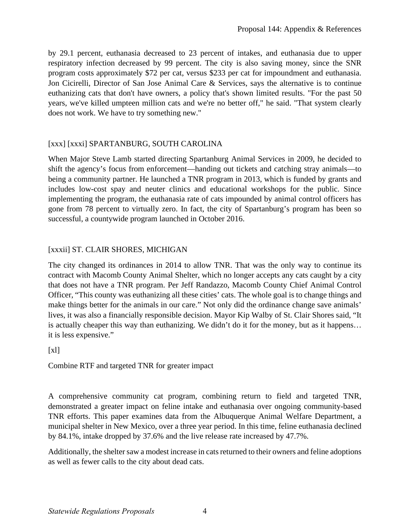by 29.1 percent, euthanasia decreased to 23 percent of intakes, and euthanasia due to upper respiratory infection decreased by 99 percent. The city is also saving money, since the SNR program costs approximately \$72 per cat, versus \$233 per cat for impoundment and euthanasia. Jon Cicirelli, Director of San Jose Animal Care & Services, says the alternative is to continue euthanizing cats that don't have owners, a policy that's shown limited results. "For the past 50 years, we've killed umpteen million cats and we're no better off," he said. "That system clearly does not work. We have to try something new."

#### [xxx] [xxxi] SPARTANBURG, SOUTH CAROLINA

 successful, a countywide program launched in October 2016. When Major Steve Lamb started directing Spartanburg Animal Services in 2009, he decided to shift the agency's focus from enforcement—handing out tickets and catching stray animals—to being a community partner. He launched a TNR program in 2013, which is funded by grants and includes low-cost spay and neuter clinics and educational workshops for the public. Since implementing the program, the euthanasia rate of cats impounded by animal control officers has gone from 78 percent to virtually zero. In fact, the city of Spartanburg's program has been so

#### [xxxii] ST. CLAIR SHORES, MICHIGAN

The city changed its ordinances in 2014 to allow TNR. That was the only way to continue its contract with Macomb County Animal Shelter, which no longer accepts any cats caught by a city that does not have a TNR program. Per Jeff Randazzo, Macomb County Chief Animal Control Officer, "This county was euthanizing all these cities' cats. The whole goal is to change things and make things better for the animals in our care." Not only did the ordinance change save animals' lives, it was also a financially responsible decision. Mayor Kip Walby of St. Clair Shores said, "It is actually cheaper this way than euthanizing. We didn't do it for the money, but as it happens… it is less expensive."

 $[x]$ 

Combine RTF and targeted TNR for greater impact

A comprehensive community cat program, combining return to field and targeted TNR, demonstrated a greater impact on feline intake and euthanasia over ongoing community-based TNR efforts. This paper examines data from the Albuquerque Animal Welfare Department, a municipal shelter in New Mexico, over a three year period. In this time, feline euthanasia declined by 84.1%, intake dropped by 37.6% and the live release rate increased by 47.7%.

Additionally, the shelter saw a modest increase in cats returned to their owners and feline adoptions as well as fewer calls to the city about dead cats.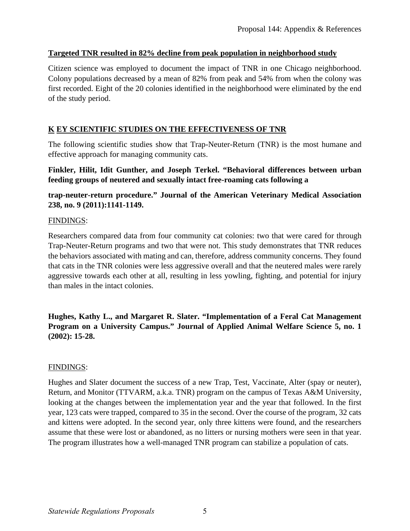#### **Targeted TNR resulted in 82% decline from peak population in neighborhood study**

Citizen science was employed to document the impact of TNR in one Chicago neighborhood. Colony populations decreased by a mean of 82% from peak and 54% from when the colony was first recorded. Eight of the 20 colonies identified in the neighborhood were eliminated by the end of the study period.

# <u>K EY SCIENTIFIC STUDIES ON THE EFFECTIVENESS OF TNR</u>

 effective approach for managing community cats. The following scientific studies show that Trap-Neuter-Return (TNR) is the most humane and

#### **Finkler, Hilit, Idit Gunther, and Joseph Terkel. "Behavioral differences between urban feeding groups of neutered and sexually intact free-roaming cats following a**

#### **trap-neuter-return procedure." Journal of the American Veterinary Medical Association 238, no. 9 (2011):1141-1149.**

#### FINDINGS:

Researchers compared data from four community cat colonies: two that were cared for through Trap-Neuter-Return programs and two that were not. This study demonstrates that TNR reduces the behaviors associated with mating and can, therefore, address community concerns. They found that cats in the TNR colonies were less aggressive overall and that the neutered males were rarely aggressive towards each other at all, resulting in less yowling, fighting, and potential for injury than males in the intact colonies.

**Hughes, Kathy L., and Margaret R. Slater. "Implementation of a Feral Cat Management Program on a University Campus." Journal of Applied Animal Welfare Science 5, no. 1 (2002): 15-28.** 

#### FINDINGS:

Hughes and Slater document the success of a new Trap, Test, Vaccinate, Alter (spay or neuter), Return, and Monitor (TTVARM, a.k.a. TNR) program on the campus of Texas A&M University, looking at the changes between the implementation year and the year that followed. In the first year, 123 cats were trapped, compared to 35 in the second. Over the course of the program, 32 cats and kittens were adopted. In the second year, only three kittens were found, and the researchers assume that these were lost or abandoned, as no litters or nursing mothers were seen in that year. The program illustrates how a well-managed TNR program can stabilize a population of cats.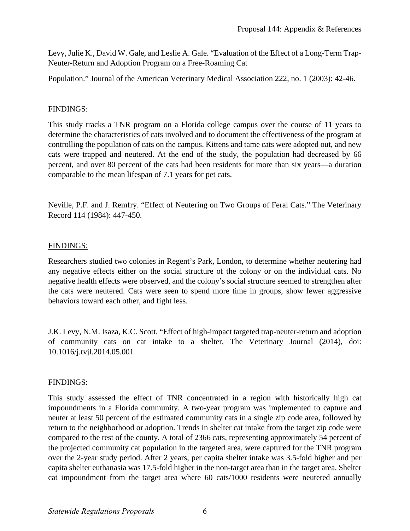Levy, Julie K., David W. Gale, and Leslie A. Gale. "Evaluation of the Effect of a Long-Term Trap-Neuter-Return and Adoption Program on a Free-Roaming Cat

Population." Journal of the American Veterinary Medical Association 222, no. 1 (2003): 42-46.

#### FINDINGS:

This study tracks a TNR program on a Florida college campus over the course of 11 years to determine the characteristics of cats involved and to document the effectiveness of the program at controlling the population of cats on the campus. Kittens and tame cats were adopted out, and new cats were trapped and neutered. At the end of the study, the population had decreased by 66 percent, and over 80 percent of the cats had been residents for more than six years—a duration comparable to the mean lifespan of 7.1 years for pet cats.

Neville, P.F. and J. Remfry. "Effect of Neutering on Two Groups of Feral Cats." The Veterinary Record 114 (1984): 447-450.

#### FINDINGS:

Researchers studied two colonies in Regent's Park, London, to determine whether neutering had any negative effects either on the social structure of the colony or on the individual cats. No negative health effects were observed, and the colony's social structure seemed to strengthen after the cats were neutered. Cats were seen to spend more time in groups, show fewer aggressive behaviors toward each other, and fight less.

J.K. Levy, N.M. Isaza, K.C. Scott. "Effect of high-impact targeted trap-neuter-return and adoption of community cats on cat intake to a shelter, The Veterinary Journal (2014), doi: 10.1016/j.tvjl.2014.05.001

#### FINDINGS:

This study assessed the effect of TNR concentrated in a region with historically high cat impoundments in a Florida community. A two-year program was implemented to capture and neuter at least 50 percent of the estimated community cats in a single zip code area, followed by return to the neighborhood or adoption. Trends in shelter cat intake from the target zip code were compared to the rest of the county. A total of 2366 cats, representing approximately 54 percent of the projected community cat population in the targeted area, were captured for the TNR program over the 2-year study period. After 2 years, per capita shelter intake was 3.5-fold higher and per capita shelter euthanasia was 17.5-fold higher in the non-target area than in the target area. Shelter cat impoundment from the target area where 60 cats/1000 residents were neutered annually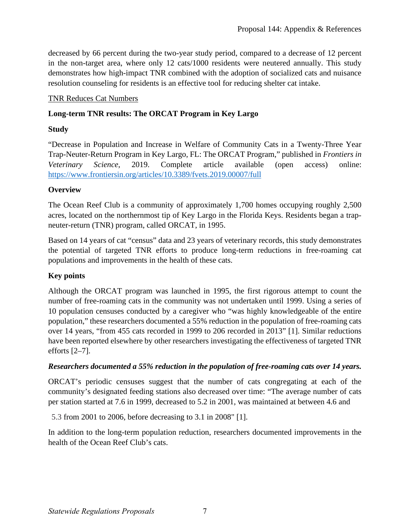decreased by 66 percent during the two-year study period, compared to a decrease of 12 percent in the non-target area, where only 12 cats/1000 residents were neutered annually. This study demonstrates how high-impact TNR combined with the adoption of socialized cats and nuisance resolution counseling for residents is an effective tool for reducing shelter cat intake.

#### TNR Reduces Cat Numbers

#### **Long-term TNR results: The ORCAT Program in Key Largo**

#### **Study**

"Decrease in Population and Increase in Welfare of Community Cats in a Twenty-Three Year Trap-Neuter-Return Program in Key Largo, FL: The ORCAT Program," published in *Frontiers in Veterinary Science*, 2019. Complete article available (open access) online: <https://www.frontiersin.org/articles/10.3389/fvets.2019.00007/full>

#### **Overview**

The Ocean Reef Club is a community of approximately 1,700 homes occupying roughly 2,500 acres, located on the northernmost tip of Key Largo in the Florida Keys. Residents began a trapneuter-return (TNR) program, called ORCAT, in 1995.

Based on 14 years of cat "census" data and 23 years of veterinary records, this study demonstrates the potential of targeted TNR efforts to produce long-term reductions in free-roaming cat populations and improvements in the health of these cats.

#### **Key points**

 10 population censuses conducted by a caregiver who "was highly knowledgeable of the entire Although the ORCAT program was launched in 1995, the first rigorous attempt to count the number of free-roaming cats in the community was not undertaken until 1999. Using a series of population," these researchers documented a 55% reduction in the population of free-roaming cats over 14 years, "from 455 cats recorded in 1999 to 206 recorded in 2013" [1]. Similar reductions have been reported elsewhere by other researchers investigating the effectiveness of targeted TNR efforts [2–7].

#### *Researchers documented a 55% reduction in the population of free-roaming cats over 14 years.*

ORCAT's periodic censuses suggest that the number of cats congregating at each of the community's designated feeding stations also decreased over time: "The average number of cats per station started at 7.6 in 1999, decreased to 5.2 in 2001, was maintained at between 4.6 and

5.3 from 2001 to 2006, before decreasing to 3.1 in 2008" [1].

In addition to the long-term population reduction, researchers documented improvements in the health of the Ocean Reef Club's cats.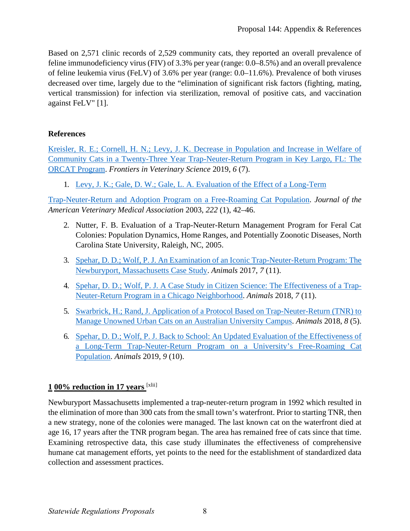Based on 2,571 clinic records of 2,529 community cats, they reported an overall prevalence of feline immunodeficiency virus (FIV) of 3.3% per year (range: 0.0–8.5%) and an overall prevalence of feline leukemia virus (FeLV) of 3.6% per year (range: 0.0–11.6%). Prevalence of both viruses decreased over time, largely due to the "elimination of significant risk factors (fighting, mating, vertical transmission) for infection via sterilization, removal of positive cats, and vaccination against FeLV" [1].

#### **References**

[Kreisler, R. E.; Cornell, H. N.; Levy, J. K. Decrease in Population and Increase in Welfare of](https://doi.org/10.3389/fvets.2019.00007)  [Community Cats in a Twenty-Three Year Trap-Neuter-Return Program in Key Largo, FL: The](https://doi.org/10.3389/fvets.2019.00007)  [ORCAT Program.](https://doi.org/10.3389/fvets.2019.00007) *Frontiers in Veterinary Science* 2019, *6* (7).

1. [Levy, J. K.; Gale, D. W.; Gale, L. A. Evaluation of the Effect of a Long-Term](https://doi.org/10.2460/javma.2003.222.42) 

[Trap-Neuter-Return and Adoption Program on a Free-Roaming Cat Population.](https://doi.org/10.2460/javma.2003.222.42) *Journal of the American Veterinary Medical Association* 2003, *222* (1), 42–46.

- 2. Nutter, F. B. Evaluation of a Trap-Neuter-Return Management Program for Feral Cat Colonies: Population Dynamics, Home Ranges, and Potentially Zoonotic Diseases, North Carolina State University, Raleigh, NC, 2005.
- 3. [Spehar, D. D.; Wolf, P. J. An Examination of an Iconic Trap-Neuter-Return Program: The](https://doi.org/10.3390/ani7110081)  [Newburyport, Massachusetts Case Study.](https://doi.org/10.3390/ani7110081) *Animals* 2017, *7* (11).
- 4. [Spehar, D. D.; Wolf, P. J. A Case Study in Citizen Science: The Effectiveness of a Trap-](https://doi.org/10.3390/ani7110081)[Neuter-Return Program in a Chicago Neighborhood.](https://doi.org/10.3390/ani7110081) *Animals* 2018, *7* (11).
- 5. [Swarbrick, H.; Rand, J. Application of a Protocol Based on Trap-Neuter-Return \(TNR\) to](https://doi.org/10.3390/ani8050077)  [Manage Unowned Urban Cats on an Australian University Campus.](https://doi.org/10.3390/ani8050077) *Animals* 2018, *8* (5).
- 6. [Spehar, D. D.; Wolf, P. J. Back to School: An Updated Evaluation of the Effectiveness of](https://doi.org/10.3390/ani9100768)  [a Long-Term Trap-Neuter-Return Program on a University's Free-Roaming Cat](https://doi.org/10.3390/ani9100768)  [Population.](https://doi.org/10.3390/ani9100768) *Animals* 2019, *9* (10).

# **1 00% reduction in 17 years** <sup>[xlii]</sup>

Newburyport Massachusetts implemented a trap-neuter-return program in 1992 which resulted in the elimination of more than 300 cats from the small town's waterfront. Prior to starting TNR, then a new strategy, none of the colonies were managed. The last known cat on the waterfront died at age 16, 17 years after the TNR program began. The area has remained free of cats since that time. Examining retrospective data, this case study illuminates the effectiveness of comprehensive humane cat management efforts, yet points to the need for the establishment of standardized data collection and assessment practices.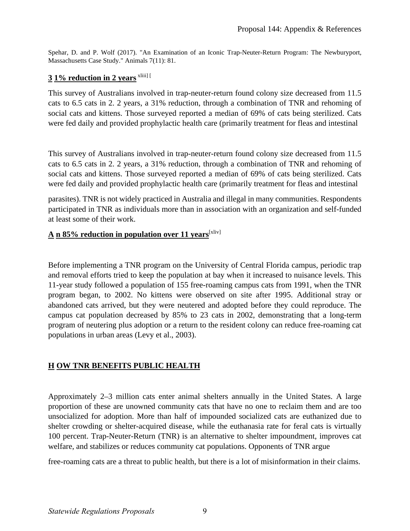Spehar, D. and P. Wolf (2017). "An Examination of an Iconic Trap-Neuter-Return Program: The Newburyport, Massachusetts Case Study." Animals 7(11): 81.

#### **3 1% reduction in 2 years** xliii] [

 social cats and kittens. Those surveyed reported a median of 69% of cats being sterilized. Cats This survey of Australians involved in trap-neuter-return found colony size decreased from 11.5 cats to 6.5 cats in 2. 2 years, a 31% reduction, through a combination of TNR and rehoming of were fed daily and provided prophylactic health care (primarily treatment for fleas and intestinal

 social cats and kittens. Those surveyed reported a median of 69% of cats being sterilized. Cats This survey of Australians involved in trap-neuter-return found colony size decreased from 11.5 cats to 6.5 cats in 2. 2 years, a 31% reduction, through a combination of TNR and rehoming of were fed daily and provided prophylactic health care (primarily treatment for fleas and intestinal

parasites). TNR is not widely practiced in Australia and illegal in many communities. Respondents participated in TNR as individuals more than in association with an organization and self-funded at least some of their work.

#### A n 85% reduction in population over 11 years<sup>[xliv]</sup>

 Before implementing a TNR program on the University of Central Florida campus, periodic trap and removal efforts tried to keep the population at bay when it increased to nuisance levels. This 11-year study followed a population of 155 free-roaming campus cats from 1991, when the TNR program began, to 2002. No kittens were observed on site after 1995. Additional stray or abandoned cats arrived, but they were neutered and adopted before they could reproduce. The campus cat population decreased by 85% to 23 cats in 2002, demonstrating that a long-term program of neutering plus adoption or a return to the resident colony can reduce free-roaming cat populations in urban areas (Levy et al., 2003).

#### **H OW TNR BENEFITS PUBLIC HEALTH**

 unsocialized for adoption. More than half of impounded socialized cats are euthanized due to Approximately 2–3 million cats enter animal shelters annually in the United States. A large proportion of these are unowned community cats that have no one to reclaim them and are too shelter crowding or shelter-acquired disease, while the euthanasia rate for feral cats is virtually 100 percent. Trap-Neuter-Return (TNR) is an alternative to shelter impoundment, improves cat welfare, and stabilizes or reduces community cat populations. Opponents of TNR argue

free-roaming cats are a threat to public health, but there is a lot of misinformation in their claims.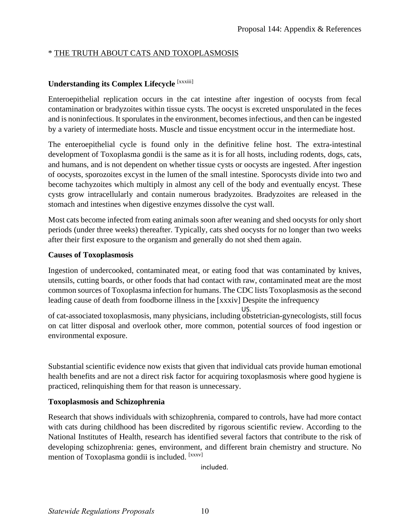#### \* THE TRUTH ABOUT CATS AND TOXOPLASMOSIS

#### **Understanding its Complex Lifecycle** [xxxiii]

Enteroepithelial replication occurs in the cat intestine after ingestion of oocysts from fecal contamination or bradyzoites within tissue cysts. The oocyst is excreted unsporulated in the feces and is noninfectious. It sporulates in the environment, becomes infectious, and then can be ingested by a variety of intermediate hosts. Muscle and tissue encystment occur in the intermediate host.

The enteroepithelial cycle is found only in the definitive feline host. The extra-intestinal development of Toxoplasma gondii is the same as it is for all hosts, including rodents, dogs, cats, and humans, and is not dependent on whether tissue cysts or oocysts are ingested. After ingestion of oocysts, sporozoites excyst in the lumen of the small intestine. Sporocysts divide into two and become tachyzoites which multiply in almost any cell of the body and eventually encyst. These cysts grow intracellularly and contain numerous bradyzoites. Bradyzoites are released in the stomach and intestines when digestive enzymes dissolve the cyst wall.

Most cats become infected from eating animals soon after weaning and shed oocysts for only short periods (under three weeks) thereafter. Typically, cats shed oocysts for no longer than two weeks after their first exposure to the organism and generally do not shed them again.

#### **Causes of Toxoplasmosis**

Ingestion of undercooked, contaminated meat, or eating food that was contaminated by knives, utensils, cutting boards, or other foods that had contact with raw, contaminated meat are the most common sources of Toxoplasma infection for humans. The CDC lists Toxoplasmosis as the second leading cause of death from foodborne illness in the [xxxiv] Despite the infrequency

US. of cat-associated toxoplasmosis, many physicians, including obstetrician-gynecologists, still focus on cat litter disposal and overlook other, more common, potential sources of food ingestion or environmental exposure.

Substantial scientific evidence now exists that given that individual cats provide human emotional health benefits and are not a direct risk factor for acquiring toxoplasmosis where good hygiene is practiced, relinquishing them for that reason is unnecessary.

#### **Toxoplasmosis and Schizophrenia**

 National Institutes of Health, research has identified several factors that contribute to the risk of mention of Toxoplasma gondii is included. [xxxv] Research that shows individuals with schizophrenia, compared to controls, have had more contact with cats during childhood has been discredited by rigorous scientific review. According to the developing schizophrenia: genes, environment, and different brain chemistry and structure. No

included.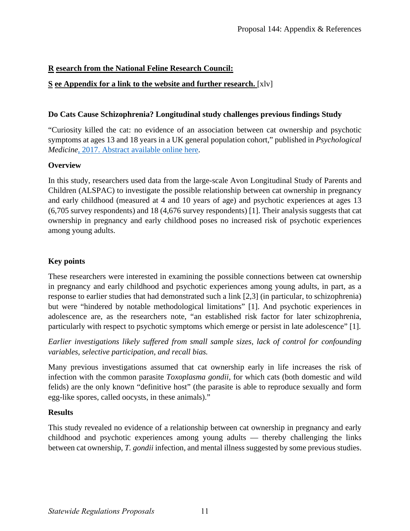### **R esearch from the National Feline Research Council:**

#### **S ee Appendix for a link to the website and further research.** [xlv]

#### **Do Cats Cause Schizophrenia? Longitudinal study challenges previous findings Study**

"Curiosity killed the cat: no evidence of an association between cat ownership and psychotic symptoms at ages 13 and 18 years in a UK general population cohort," published in *Psychological Medicine*[, 2017. Abstract available online here.](https://www.cambridge.org/core/journals/psychological-medicine/article/curiosity-killed-the-cat-no-evidence-of-an-association-between-cat-ownership-and-psychotic-symptoms-at-ages-13-and-18-years-in-a-uk-general-population-cohort/75C9A48B669BE36E947AFB0BC5CB00CA)

#### **Overview**

In this study, researchers used data from the large-scale Avon Longitudinal Study of Parents and Children (ALSPAC) to investigate the possible relationship between cat ownership in pregnancy and early childhood (measured at 4 and 10 years of age) and psychotic experiences at ages 13 (6,705 survey respondents) and 18 (4,676 survey respondents) [1]. Their analysis suggests that cat ownership in pregnancy and early childhood poses no increased risk of psychotic experiences among young adults.

#### **Key points**

These researchers were interested in examining the possible connections between cat ownership in pregnancy and early childhood and psychotic experiences among young adults, in part, as a response to earlier studies that had demonstrated such a link [2,3] (in particular, to schizophrenia) but were "hindered by notable methodological limitations" [1]. And psychotic experiences in adolescence are, as the researchers note, "an established risk factor for later schizophrenia, particularly with respect to psychotic symptoms which emerge or persist in late adolescence" [1].

*Earlier investigations likely suffered from small sample sizes, lack of control for confounding variables, selective participation, and recall bias.* 

Many previous investigations assumed that cat ownership early in life increases the risk of infection with the common parasite *Toxoplasma gondii*, for which cats (both domestic and wild felids) are the only known "definitive host" (the parasite is able to reproduce sexually and form egg-like spores, called oocysts, in these animals)."

#### **Results**

This study revealed no evidence of a relationship between cat ownership in pregnancy and early childhood and psychotic experiences among young adults — thereby challenging the links between cat ownership, *T. gondii* infection, and mental illness suggested by some previous studies.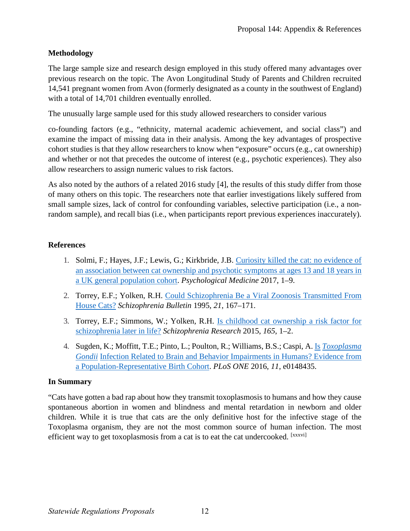#### **Methodology**

The large sample size and research design employed in this study offered many advantages over previous research on the topic. The Avon Longitudinal Study of Parents and Children recruited 14,541 pregnant women from Avon (formerly designated as a county in the southwest of England) with a total of 14,701 children eventually enrolled.

The unusually large sample used for this study allowed researchers to consider various

co-founding factors (e.g., "ethnicity, maternal academic achievement, and social class") and examine the impact of missing data in their analysis. Among the key advantages of prospective cohort studies is that they allow researchers to know when "exposure" occurs (e.g., cat ownership) and whether or not that precedes the outcome of interest (e.g., psychotic experiences). They also allow researchers to assign numeric values to risk factors.

As also noted by the authors of a related 2016 study [4], the results of this study differ from those of many others on this topic. The researchers note that earlier investigations likely suffered from small sample sizes, lack of control for confounding variables, selective participation (i.e., a nonrandom sample), and recall bias (i.e., when participants report previous experiences inaccurately).

#### **References**

- 1. Solmi, F.; Hayes, J.F.; Lewis, G.; Kirkbride, J.B. [Curiosity killed the cat: no evidence of](https://www.cambridge.org/core/journals/psychological-medicine/article/curiosity-killed-the-cat-no-evidence-of-an-association-between-cat-ownership-and-psychotic-symptoms-at-ages-13-and-18-years-in-a-uk-general-population-cohort/75C9A48B669BE36E947AFB0BC5CB00CA)  [an association between cat ownership and psychotic symptoms at ages 13 and 18 years in](https://www.cambridge.org/core/journals/psychological-medicine/article/curiosity-killed-the-cat-no-evidence-of-an-association-between-cat-ownership-and-psychotic-symptoms-at-ages-13-and-18-years-in-a-uk-general-population-cohort/75C9A48B669BE36E947AFB0BC5CB00CA)  [a UK general population cohort.](https://www.cambridge.org/core/journals/psychological-medicine/article/curiosity-killed-the-cat-no-evidence-of-an-association-between-cat-ownership-and-psychotic-symptoms-at-ages-13-and-18-years-in-a-uk-general-population-cohort/75C9A48B669BE36E947AFB0BC5CB00CA) *Psychological Medicine* 2017, 1–9.
- 2. Torrey, E.F.; Yolken, R.H. [Could Schizophrenia Be a Viral Zoonosis Transmitted From](https://jhu.pure.elsevier.com/en/publications/could-schizophrenia-be-a-viral-zoonosis-transmitted-from-house-ca-4)  [House Cats?](https://jhu.pure.elsevier.com/en/publications/could-schizophrenia-be-a-viral-zoonosis-transmitted-from-house-ca-4) *Schizophrenia Bulletin* 1995, *21*, 167–171.
- 3. Torrey, E.F.; Simmons, W.; Yolken, R.H. [Is childhood cat ownership a risk factor for](https://www.sciencedirect.com/science/article/abs/pii/S0920996415001760)  [schizophrenia later in life?](https://www.sciencedirect.com/science/article/abs/pii/S0920996415001760) *Schizophrenia Research* 2015, *165*, 1–2.
- 4. Sugden, K.; Moffitt, T.E.; Pinto, L.; Poulton, R.; Williams, B.S.; Caspi, A. <u>Is *Toxoplasma*</u> *[Gondii](https://www.ncbi.nlm.nih.gov/pubmed/26886853)* [Infection Related to Brain and Behavior Impairments in Humans? Evidence from](https://www.ncbi.nlm.nih.gov/pubmed/26886853)  [a Population-Representative Birth Cohort.](https://www.ncbi.nlm.nih.gov/pubmed/26886853) *PLoS ONE* 2016, *11*, e0148435.

#### **In Summary**

 children. While it is true that cats are the only definitive host for the infective stage of the "Cats have gotten a bad rap about how they transmit toxoplasmosis to humans and how they cause spontaneous abortion in women and blindness and mental retardation in newborn and older Toxoplasma organism, they are not the most common source of human infection. The most efficient way to get toxoplasmosis from a cat is to eat the cat undercooked. [xxxvi]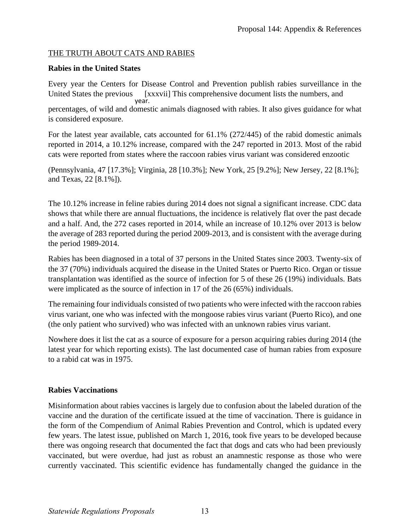#### THE TRUTH ABOUT CATS AND RABIES

#### **Rabies in the United States**

Every year the Centers for Disease Control and Prevention publish rabies surveillance in the United States the previous [xxxvii] This comprehensive document lists the numbers, and year. percentages, of wild and domestic animals diagnosed with rabies. It also gives guidance for what is considered exposure.

For the latest year available, cats accounted for 61.1% (272/445) of the rabid domestic animals reported in 2014, a 10.12% increase, compared with the 247 reported in 2013. Most of the rabid cats were reported from states where the raccoon rabies virus variant was considered enzootic

(Pennsylvania, 47 [17.3%]; Virginia, 28 [10.3%]; New York, 25 [9.2%]; New Jersey, 22 [8.1%]; and Texas, 22 [8.1%]).

The 10.12% increase in feline rabies during 2014 does not signal a significant increase. CDC data shows that while there are annual fluctuations, the incidence is relatively flat over the past decade and a half. And, the 272 cases reported in 2014, while an increase of 10.12% over 2013 is below the average of 283 reported during the period 2009-2013, and is consistent with the average during the period 1989-2014.

Rabies has been diagnosed in a total of 37 persons in the United States since 2003. Twenty-six of the 37 (70%) individuals acquired the disease in the United States or Puerto Rico. Organ or tissue transplantation was identified as the source of infection for 5 of these 26 (19%) individuals. Bats were implicated as the source of infection in 17 of the 26 (65%) individuals.

The remaining four individuals consisted of two patients who were infected with the raccoon rabies virus variant, one who was infected with the mongoose rabies virus variant (Puerto Rico), and one (the only patient who survived) who was infected with an unknown rabies virus variant.

 Nowhere does it list the cat as a source of exposure for a person acquiring rabies during 2014 (the latest year for which reporting exists). The last documented case of human rabies from exposure to a rabid cat was in 1975.

#### **Rabies Vaccinations**

Misinformation about rabies vaccines is largely due to confusion about the labeled duration of the vaccine and the duration of the certificate issued at the time of vaccination. There is guidance in the form of the Compendium of Animal Rabies Prevention and Control, which is updated every few years. The latest issue, published on March 1, 2016, took five years to be developed because there was ongoing research that documented the fact that dogs and cats who had been previously vaccinated, but were overdue, had just as robust an anamnestic response as those who were currently vaccinated. This scientific evidence has fundamentally changed the guidance in the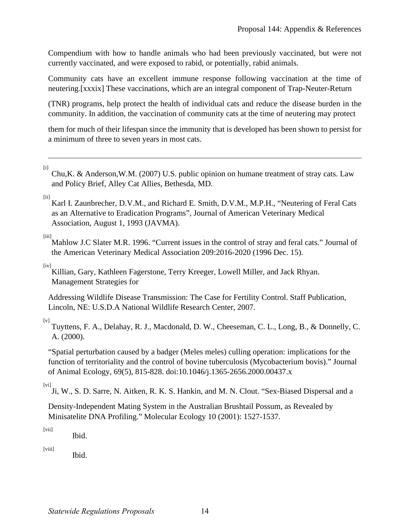Compendium with how to handle animals who had been previously vaccinated, but were not currently vaccinated, and were exposed to rabid, or potentially, rabid animals.

Community cats have an excellent immune response following vaccination at the time of neutering.[xxxix] These vaccinations, which are an integral component of Trap-Neuter-Return

(TNR) programs, help protect the health of individual cats and reduce the disease burden in the community. In addition, the vaccination of community cats at the time of neutering may protect

them for much of their lifespan since the immunity that is developed has been shown to persist for a minimum of three to seven years in most cats.

[i]

 $\overline{a}$ 

Chu,K. & Anderson,W.M. (2007) U.S. public opinion on humane treatment of stray cats. Law and Policy Brief, Alley Cat Allies, Bethesda, MD.

 $[ii]$ 

Karl I. Zaunbrecher, D.V.M., and Richard E. Smith, D.V.M., M.P.H., "Neutering of Feral Cats as an Alternative to Eradication Programs", Journal of American Veterinary Medical Association, August 1, 1993 (JAVMA).

[iii]

Mahlow J.C Slater M.R. 1996. "Current issues in the control of stray and feral cats." Journal of the American Veterinary Medical Association 209:2016-2020 (1996 Dec. 15).

[iv]

Killian, Gary, Kathleen Fagerstone, Terry Kreeger, Lowell Miller, and Jack Rhyan. Management Strategies for

Addressing Wildlife Disease Transmission: The Case for Fertility Control. Staff Publication, Lincoln, NE: U.S.D.A National Wildlife Research Center, 2007.

[v] Tuyttens, F. A., Delahay, R. J., Macdonald, D. W., Cheeseman, C. L., Long, B., & Donnelly, C. A. (2000).

"Spatial perturbation caused by a badger (Meles meles) culling operation: implications for the function of territoriality and the control of bovine tuberculosis (Mycobacterium bovis)." Journal of Animal Ecology, 69(5), 815-828. doi:10.1046/j.1365-2656.2000.00437.x

[vi]

Ji, W., S. D. Sarre, N. Aitken, R. K. S. Hankin, and M. N. Clout. "Sex-Biased Dispersal and a

Density-Independent Mating System in the Australian Brushtail Possum, as Revealed by Minisatelite DNA Profiling." Molecular Ecology 10 (2001): 1527-1537.

 $[vii]$ 

Ibid.

[viii]

Ibid.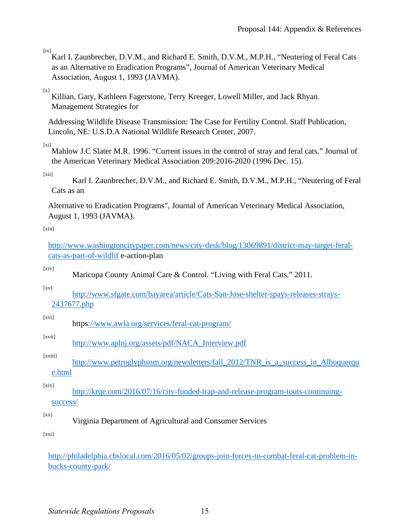[ix] Karl I. Zaunbrecher, D.V.M., and Richard E. Smith, D.V.M., M.P.H., "Neutering of Feral Cats as an Alternative to Eradication Programs", Journal of American Veterinary Medical Association, August 1, 1993 (JAVMA).

#### $[x]$

Killian, Gary, Kathleen Fagerstone, Terry Kreeger, Lowell Miller, and Jack Rhyan. Management Strategies for

Addressing Wildlife Disease Transmission: The Case for Fertility Control. Staff Publication, Lincoln, NE: U.S.D.A National Wildlife Research Center, 2007.

[xi] Mahlow J.C Slater M.R. 1996. "Current issues in the control of stray and feral cats." Journal of the American Veterinary Medical Association 209:2016-2020 (1996 Dec. 15).

[xii]

Karl I. Zaunbrecher, D.V.M., and Richard E. Smith, D.V.M., M.P.H., "Neutering of Feral Cats as an

Alternative to Eradication Programs", Journal of American Veterinary Medical Association, August 1, 1993 (JAVMA).

#### [xiii]

[http://www.washingtoncitypaper.com/news/city-desk/blog/13069891/district-may-target-feral](http://www.washingtoncitypaper.com/news/city-desk/blog/13069891/district-may-target-feral-cats-as-part-of-wildlif)[cats-as-part-of-wildlif](http://www.washingtoncitypaper.com/news/city-desk/blog/13069891/district-may-target-feral-cats-as-part-of-wildlif) e-action-plan

[xiv]

Maricopa County Animal Care & Control. "Living with Feral Cats." 2011.

[xv]

[http://www.sfgate.com/bayarea/article/Cats-San-Jose-shelter-spays-releases-strays-](http://www.sfgate.com/bayarea/article/Cats-San-Jose-shelter-spays-releases-strays-2437677.php)[2437677.php](http://www.sfgate.com/bayarea/article/Cats-San-Jose-shelter-spays-releases-strays-2437677.php) 

[xvi]

http[s://www.awla.org/services/feral-cat-program/](http://www.awla.org/services/feral-cat-program/) 

#### [xvii] [http://www.aplnj.org/assets/pdf/NACA\\_Interview.pdf](http://www.aplnj.org/assets/pdf/NACA_Interview.pdf)

#### [xviii]

http://www.petroglyphsnm.org/newsletters/fall\_2012/TNR\_is\_a\_success\_in\_Albuquerqu [e.html](http://www.petroglyphsnm.org/newsletters/fall_2012/TNR_is_a_success_in_Albuquerque.html) 

[xix]

[http://krqe.com/2016/07/16/city-funded-trap-and-release-program-touts-continuing](http://krqe.com/2016/07/16/city-funded-trap-and-release-program-touts-continuing-success/)[success/](http://krqe.com/2016/07/16/city-funded-trap-and-release-program-touts-continuing-success/) 

 $[xx]$ 

Virginia Department of Agricultural and Consumer Services

[xxi]

[http://philadelphia.cbslocal.com/2016/05/02/groups-join-forces-to-combat-feral-cat-problem-in](http://philadelphia.cbslocal.com/2016/05/02/groups-join-forces-to-combat-feral-cat-problem-in-bucks-county-park/)[bucks-county-park/](http://philadelphia.cbslocal.com/2016/05/02/groups-join-forces-to-combat-feral-cat-problem-in-bucks-county-park/)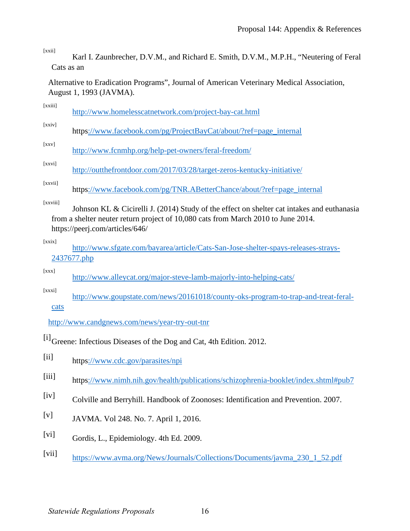[xxii]

Karl I. Zaunbrecher, D.V.M., and Richard E. Smith, D.V.M., M.P.H., "Neutering of Feral Cats as an

Alternative to Eradication Programs", Journal of American Veterinary Medical Association, August 1, 1993 (JAVMA).

| [xxiii]   | http://www.homelesscatnetwork.com/project-bay-cat.html                                                                                                                                                             |
|-----------|--------------------------------------------------------------------------------------------------------------------------------------------------------------------------------------------------------------------|
| [xxiv]    | https://www.facebook.com/pg/ProjectBayCat/about/?ref=page_internal                                                                                                                                                 |
| [xxv]     | http://www.fcnmhp.org/help-pet-owners/feral-freedom/                                                                                                                                                               |
| [xxvi]    | http://outthefrontdoor.com/2017/03/28/target-zeros-kentucky-initiative/                                                                                                                                            |
| [xxvii]   | https://www.facebook.com/pg/TNR.ABetterChance/about/?ref=page_internal                                                                                                                                             |
| [xxviii]  | Johnson KL & Cicirelli J. (2014) Study of the effect on shelter cat intakes and euthanasia<br>from a shelter neuter return project of 10,080 cats from March 2010 to June 2014.<br>https://peerj.com/articles/646/ |
| [x x i x] | http://www.sfgate.com/bayarea/article/Cats-San-Jose-shelter-spays-releases-strays-<br>2437677.php                                                                                                                  |
| [xxx]     | http://www.alleycat.org/major-steve-lamb-majorly-into-helping-cats/                                                                                                                                                |

[xxxi] [http://www.goupstate.com/news/20161018/county-oks-program-to-trap-and-treat-feral](http://www.goupstate.com/news/20161018/county-oks-program-to-trap-and-treat-feral-cats)[cats](http://www.goupstate.com/news/20161018/county-oks-program-to-trap-and-treat-feral-cats) 

<http://www.candgnews.com/news/year-try-out-tnr>

[i]<sub>Greene: Infectious Diseases of the Dog and Cat, 4th Edition. 2012.</sub>

- [ii] http[s://www.cdc.gov/parasites/npi](http://www.cdc.gov/parasites/npi)
- [iii] http[s://www.nimh.nih.gov/health/publications/schizophrenia-booklet/index.shtml#pub7](http://www.nimh.nih.gov/health/publications/schizophrenia-booklet/index.shtml#pub7)
- [iv] Colville and Berryhill. Handbook of Zoonoses: Identification and Prevention. 2007.
- [v] JAVMA. Vol 248. No. 7. April 1, 2016.
- [vi] Gordis, L., Epidemiology. 4th Ed. 2009.
- [vii] [https://www.avma.org/News/Journals/Collections/Documents/javma\\_230\\_1\\_52.pdf](https://www.avma.org/News/Journals/Collections/Documents/javma_230_1_52.pdf)